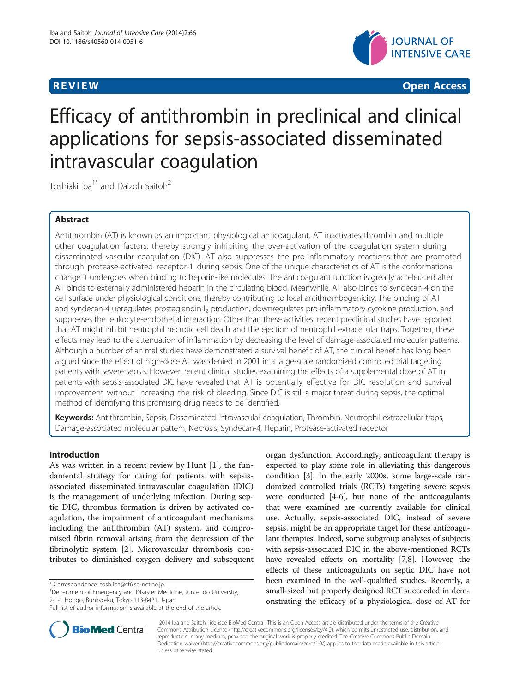

**REVIEW CONSTRUCTION CONSTRUCTION CONSTRUCTS** 

# Efficacy of antithrombin in preclinical and clinical applications for sepsis-associated disseminated intravascular coagulation

Toshiaki Iba<sup>1\*</sup> and Daizoh Saitoh<sup>2</sup>

# Abstract

Antithrombin (AT) is known as an important physiological anticoagulant. AT inactivates thrombin and multiple other coagulation factors, thereby strongly inhibiting the over-activation of the coagulation system during disseminated vascular coagulation (DIC). AT also suppresses the pro-inflammatory reactions that are promoted through protease-activated receptor-1 during sepsis. One of the unique characteristics of AT is the conformational change it undergoes when binding to heparin-like molecules. The anticoagulant function is greatly accelerated after AT binds to externally administered heparin in the circulating blood. Meanwhile, AT also binds to syndecan-4 on the cell surface under physiological conditions, thereby contributing to local antithrombogenicity. The binding of AT and syndecan-4 upregulates prostaglandin I<sub>2</sub> production, downregulates pro-inflammatory cytokine production, and suppresses the leukocyte-endothelial interaction. Other than these activities, recent preclinical studies have reported that AT might inhibit neutrophil necrotic cell death and the ejection of neutrophil extracellular traps. Together, these effects may lead to the attenuation of inflammation by decreasing the level of damage-associated molecular patterns. Although a number of animal studies have demonstrated a survival benefit of AT, the clinical benefit has long been argued since the effect of high-dose AT was denied in 2001 in a large-scale randomized controlled trial targeting patients with severe sepsis. However, recent clinical studies examining the effects of a supplemental dose of AT in patients with sepsis-associated DIC have revealed that AT is potentially effective for DIC resolution and survival improvement without increasing the risk of bleeding. Since DIC is still a major threat during sepsis, the optimal method of identifying this promising drug needs to be identified.

Keywords: Antithrombin, Sepsis, Disseminated intravascular coagulation, Thrombin, Neutrophil extracellular traps, Damage-associated molecular pattern, Necrosis, Syndecan-4, Heparin, Protease-activated receptor

# Introduction

As was written in a recent review by Hunt [\[1\]](#page-4-0), the fundamental strategy for caring for patients with sepsisassociated disseminated intravascular coagulation (DIC) is the management of underlying infection. During septic DIC, thrombus formation is driven by activated coagulation, the impairment of anticoagulant mechanisms including the antithrombin (AT) system, and compromised fibrin removal arising from the depression of the fibrinolytic system [\[2](#page-4-0)]. Microvascular thrombosis contributes to diminished oxygen delivery and subsequent

<sup>1</sup>Department of Emergency and Disaster Medicine, Juntendo University, 2-1-1 Hongo, Bunkyo-ku, Tokyo 113-8421, Japan

Full list of author information is available at the end of the article



**BioMed** Central

? 2014 Iba and Saitoh; licensee BioMed Central. This is an Open Access article distributed under the terms of the Creative Commons Attribution License [\(http://creativecommons.org/licenses/by/4.0\)](http://creativecommons.org/licenses/by/4.0), which permits unrestricted use, distribution, and reproduction in any medium, provided the original work is properly credited. The Creative Commons Public Domain Dedication waiver [\(http://creativecommons.org/publicdomain/zero/1.0/](http://creativecommons.org/publicdomain/zero/1.0/)) applies to the data made available in this article, unless otherwise stated.

<sup>\*</sup> Correspondence: [toshiiba@cf6.so-net.ne.jp](mailto:toshiiba@cf6.so-net.ne.jp) <sup>1</sup>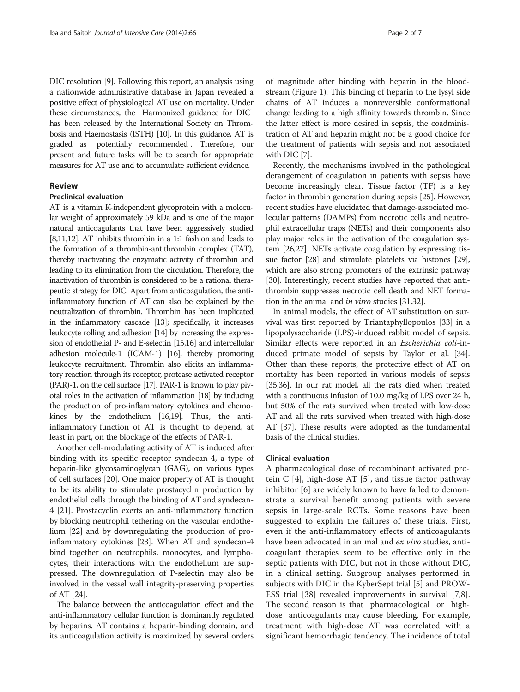DIC resolution [\[9](#page-5-0)]. Following this report, an analysis using a nationwide administrative database in Japan revealed a positive effect of physiological AT use on mortality. Under these circumstances, the Harmonized guidance for DIC has been released by the International Society on Thrombosis and Haemostasis (ISTH) [\[10\]](#page-5-0). In this guidance, AT is graded as potentially recommended . Therefore, our present and future tasks will be to search for appropriate measures for AT use and to accumulate sufficient evidence.

# Review

# Preclinical evaluation

AT is a vitamin K-independent glycoprotein with a molecular weight of approximately 59 kDa and is one of the major natural anticoagulants that have been aggressively studied [[8,11,12](#page-5-0)]. AT inhibits thrombin in a 1:1 fashion and leads to the formation of a thrombin-antithrombin complex (TAT), thereby inactivating the enzymatic activity of thrombin and leading to its elimination from the circulation. Therefore, the inactivation of thrombin is considered to be a rational therapeutic strategy for DIC. Apart from anticoagulation, the antiinflammatory function of AT can also be explained by the neutralization of thrombin. Thrombin has been implicated in the inflammatory cascade [\[13\]](#page-5-0); specifically, it increases leukocyte rolling and adhesion [\[14\]](#page-5-0) by increasing the expression of endothelial P- and E-selectin [[15,16](#page-5-0)] and intercellular adhesion molecule-1 (ICAM-1) [\[16\]](#page-5-0), thereby promoting leukocyte recruitment. Thrombin also elicits an inflammatory reaction through its receptor, protease activated receptor (PAR)-1, on the cell surface [[17\]](#page-5-0). PAR-1 is known to play pivotal roles in the activation of inflammation [\[18\]](#page-5-0) by inducing the production of pro-inflammatory cytokines and chemokines by the endothelium [\[16,19\]](#page-5-0). Thus, the antiinflammatory function of AT is thought to depend, at least in part, on the blockage of the effects of PAR-1.

Another cell-modulating activity of AT is induced after binding with its specific receptor syndecan-4, a type of heparin-like glycosaminoglycan (GAG), on various types of cell surfaces [\[20\]](#page-5-0). One major property of AT is thought to be its ability to stimulate prostacyclin production by endothelial cells through the binding of AT and syndecan-4 [\[21](#page-5-0)]. Prostacyclin exerts an anti-inflammatory function by blocking neutrophil tethering on the vascular endothelium [\[22\]](#page-5-0) and by downregulating the production of proinflammatory cytokines [\[23](#page-5-0)]. When AT and syndecan-4 bind together on neutrophils, monocytes, and lymphocytes, their interactions with the endothelium are suppressed. The downregulation of P-selectin may also be involved in the vessel wall integrity-preserving properties of AT [[24](#page-5-0)].

The balance between the anticoagulation effect and the anti-inflammatory cellular function is dominantly regulated by heparins. AT contains a heparin-binding domain, and its anticoagulation activity is maximized by several orders

of magnitude after binding with heparin in the bloodstream (Figure [1\)](#page-2-0). This binding of heparin to the lysyl side chains of AT induces a nonreversible conformational change leading to a high affinity towards thrombin. Since the latter effect is more desired in sepsis, the coadministration of AT and heparin might not be a good choice for the treatment of patients with sepsis and not associated with DIC [\[7](#page-5-0)].

Recently, the mechanisms involved in the pathological derangement of coagulation in patients with sepsis have become increasingly clear. Tissue factor (TF) is a key factor in thrombin generation during sepsis [[25](#page-5-0)]. However, recent studies have elucidated that damage-associated molecular patterns (DAMPs) from necrotic cells and neutrophil extracellular traps (NETs) and their components also play major roles in the activation of the coagulation system [\[26,27](#page-5-0)]. NETs activate coagulation by expressing tissue factor [\[28\]](#page-5-0) and stimulate platelets via histones [[29](#page-5-0)], which are also strong promoters of the extrinsic pathway [[30](#page-5-0)]. Interestingly, recent studies have reported that antithrombin suppresses necrotic cell death and NET formation in the animal and *in vitro* studies [[31,32](#page-5-0)].

In animal models, the effect of AT substitution on survival was first reported by Triantaphyllopoulos [[33\]](#page-5-0) in a lipopolysaccharide (LPS)-induced rabbit model of sepsis. Similar effects were reported in an Escherichia coli-induced primate model of sepsis by Taylor et al. [\[34](#page-5-0)]. Other than these reports, the protective effect of AT on mortality has been reported in various models of sepsis [[35,36\]](#page-5-0). In our rat model, all the rats died when treated with a continuous infusion of 10.0 mg/kg of LPS over 24 h, but 50% of the rats survived when treated with low-dose AT and all the rats survived when treated with high-dose AT [[37](#page-5-0)]. These results were adopted as the fundamental basis of the clinical studies.

## Clinical evaluation

A pharmacological dose of recombinant activated protein C [[4\]](#page-4-0), high-dose AT [[5](#page-4-0)], and tissue factor pathway inhibitor [[6\]](#page-4-0) are widely known to have failed to demonstrate a survival benefit among patients with severe sepsis in large-scale RCTs. Some reasons have been suggested to explain the failures of these trials. First, even if the anti-inflammatory effects of anticoagulants have been advocated in animal and ex vivo studies, anticoagulant therapies seem to be effective only in the septic patients with DIC, but not in those without DIC, in a clinical setting. Subgroup analyses performed in subjects with DIC in the KyberSept trial [[5\]](#page-4-0) and PROW-ESS trial [[38](#page-5-0)] revealed improvements in survival [[7,8](#page-5-0)]. The second reason is that pharmacological or highdose anticoagulants may cause bleeding. For example, treatment with high-dose AT was correlated with a significant hemorrhagic tendency. The incidence of total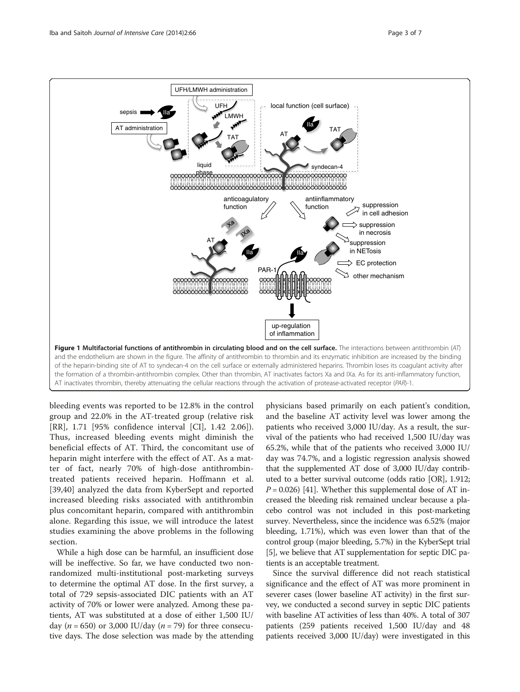<span id="page-2-0"></span>

bleeding events was reported to be 12.8% in the control group and 22.0% in the AT-treated group (relative risk [RR], 1.71 [95% confidence interval [CI], 1.42 2.06]). Thus, increased bleeding events might diminish the beneficial effects of AT. Third, the concomitant use of heparin might interfere with the effect of AT. As a matter of fact, nearly 70% of high-dose antithrombintreated patients received heparin. Hoffmann et al. [[39,40](#page-5-0)] analyzed the data from KyberSept and reported increased bleeding risks associated with antithrombin plus concomitant heparin, compared with antithrombin alone. Regarding this issue, we will introduce the latest studies examining the above problems in the following section.

While a high dose can be harmful, an insufficient dose will be ineffective. So far, we have conducted two nonrandomized multi-institutional post-marketing surveys to determine the optimal AT dose. In the first survey, a total of 729 sepsis-associated DIC patients with an AT activity of 70% or lower were analyzed. Among these patients, AT was substituted at a dose of either 1,500 IU/ day ( $n = 650$ ) or 3,000 IU/day ( $n = 79$ ) for three consecutive days. The dose selection was made by the attending

physicians based primarily on each patient's condition, and the baseline AT activity level was lower among the patients who received 3,000 IU/day. As a result, the survival of the patients who had received 1,500 IU/day was 65.2%, while that of the patients who received 3,000 IU/ day was 74.7%, and a logistic regression analysis showed that the supplemented AT dose of 3,000 IU/day contributed to a better survival outcome (odds ratio [OR], 1.912;  $P = 0.026$ ) [\[41](#page-5-0)]. Whether this supplemental dose of AT increased the bleeding risk remained unclear because a placebo control was not included in this post-marketing survey. Nevertheless, since the incidence was 6.52% (major bleeding, 1.71%), which was even lower than that of the control group (major bleeding, 5.7%) in the KyberSept trial [[5\]](#page-4-0), we believe that AT supplementation for septic DIC patients is an acceptable treatment.

Since the survival difference did not reach statistical significance and the effect of AT was more prominent in severer cases (lower baseline AT activity) in the first survey, we conducted a second survey in septic DIC patients with baseline AT activities of less than 40%. A total of 307 patients (259 patients received 1,500 IU/day and 48 patients received 3,000 IU/day) were investigated in this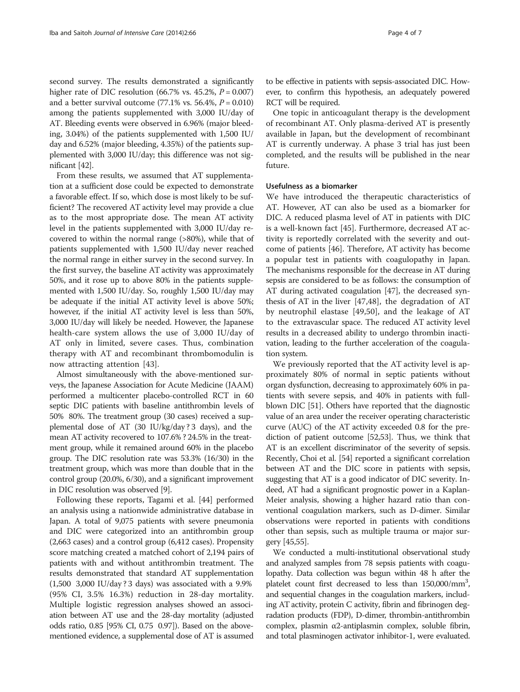second survey. The results demonstrated a significantly higher rate of DIC resolution (66.7% vs. 45.2%,  $P = 0.007$ ) and a better survival outcome  $(77.1\% \text{ vs. } 56.4\%, P = 0.010)$ among the patients supplemented with 3,000 IU/day of AT. Bleeding events were observed in 6.96% (major bleeding, 3.04%) of the patients supplemented with 1,500 IU/ day and 6.52% (major bleeding, 4.35%) of the patients supplemented with 3,000 IU/day; this difference was not significant [\[42](#page-5-0)].

From these results, we assumed that AT supplementation at a sufficient dose could be expected to demonstrate a favorable effect. If so, which dose is most likely to be sufficient? The recovered AT activity level may provide a clue as to the most appropriate dose. The mean AT activity level in the patients supplemented with 3,000 IU/day recovered to within the normal range (>80%), while that of patients supplemented with 1,500 IU/day never reached the normal range in either survey in the second survey. In the first survey, the baseline AT activity was approximately 50%, and it rose up to above 80% in the patients supplemented with 1,500 IU/day. So, roughly 1,500 IU/day may be adequate if the initial AT activity level is above 50%; however, if the initial AT activity level is less than 50%, 3,000 IU/day will likely be needed. However, the Japanese health-care system allows the use of 3,000 IU/day of AT only in limited, severe cases. Thus, combination therapy with AT and recombinant thrombomodulin is now attracting attention [[43\]](#page-5-0).

Almost simultaneously with the above-mentioned surveys, the Japanese Association for Acute Medicine (JAAM) performed a multicenter placebo-controlled RCT in 60 septic DIC patients with baseline antithrombin levels of 50% 80%. The treatment group (30 cases) received a supplemental dose of AT (30 IU/kg/day ? 3 days), and the mean AT activity recovered to 107.6% ? 24.5% in the treatment group, while it remained around 60% in the placebo group. The DIC resolution rate was 53.3% (16/30) in the treatment group, which was more than double that in the control group (20.0%, 6/30), and a significant improvement in DIC resolution was observed [\[9\]](#page-5-0).

Following these reports, Tagami et al. [[44\]](#page-5-0) performed an analysis using a nationwide administrative database in Japan. A total of 9,075 patients with severe pneumonia and DIC were categorized into an antithrombin group (2,663 cases) and a control group (6,412 cases). Propensity score matching created a matched cohort of 2,194 pairs of patients with and without antithrombin treatment. The results demonstrated that standard AT supplementation (1,500 3,000 IU/day ? 3 days) was associated with a 9.9% (95% CI, 3.5% 16.3%) reduction in 28-day mortality. Multiple logistic regression analyses showed an association between AT use and the 28-day mortality (adjusted odds ratio, 0.85 [95% CI, 0.75 0.97]). Based on the abovementioned evidence, a supplemental dose of AT is assumed

to be effective in patients with sepsis-associated DIC. However, to confirm this hypothesis, an adequately powered RCT will be required.

One topic in anticoagulant therapy is the development of recombinant AT. Only plasma-derived AT is presently available in Japan, but the development of recombinant AT is currently underway. A phase 3 trial has just been completed, and the results will be published in the near future.

# Usefulness as a biomarker

We have introduced the therapeutic characteristics of AT. However, AT can also be used as a biomarker for DIC. A reduced plasma level of AT in patients with DIC is a well-known fact [\[45\]](#page-6-0). Furthermore, decreased AT activity is reportedly correlated with the severity and outcome of patients [\[46](#page-6-0)]. Therefore, AT activity has become a popular test in patients with coagulopathy in Japan. The mechanisms responsible for the decrease in AT during sepsis are considered to be as follows: the consumption of AT during activated coagulation [[47](#page-6-0)], the decreased synthesis of AT in the liver [\[47](#page-6-0),[48](#page-6-0)], the degradation of AT by neutrophil elastase [\[49](#page-6-0),[50\]](#page-6-0), and the leakage of AT to the extravascular space. The reduced AT activity level results in a decreased ability to undergo thrombin inactivation, leading to the further acceleration of the coagulation system.

We previously reported that the AT activity level is approximately 80% of normal in septic patients without organ dysfunction, decreasing to approximately 60% in patients with severe sepsis, and 40% in patients with fullblown DIC [[51](#page-6-0)]. Others have reported that the diagnostic value of an area under the receiver operating characteristic curve (AUC) of the AT activity exceeded 0.8 for the prediction of patient outcome [[52](#page-6-0),[53](#page-6-0)]. Thus, we think that AT is an excellent discriminator of the severity of sepsis. Recently, Choi et al. [\[54\]](#page-6-0) reported a significant correlation between AT and the DIC score in patients with sepsis, suggesting that AT is a good indicator of DIC severity. Indeed, AT had a significant prognostic power in a Kaplan-Meier analysis, showing a higher hazard ratio than conventional coagulation markers, such as D-dimer. Similar observations were reported in patients with conditions other than sepsis, such as multiple trauma or major surgery [\[45,55\]](#page-6-0).

We conducted a multi-institutional observational study and analyzed samples from 78 sepsis patients with coagulopathy. Data collection was begun within 48 h after the platelet count first decreased to less than 150,000/mm<sup>3</sup>, and sequential changes in the coagulation markers, including AT activity, protein C activity, fibrin and fibrinogen degradation products (FDP), D-dimer, thrombin-antithrombin complex, plasmin α2-antiplasmin complex, soluble fibrin, and total plasminogen activator inhibitor-1, were evaluated.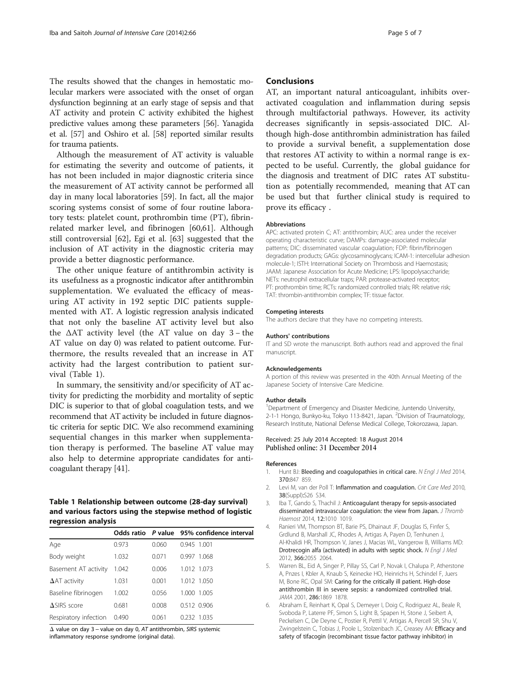<span id="page-4-0"></span>The results showed that the changes in hemostatic molecular markers were associated with the onset of organ dysfunction beginning at an early stage of sepsis and that AT activity and protein C activity exhibited the highest predictive values among these parameters [[56\]](#page-6-0). Yanagida et al. [\[57\]](#page-6-0) and Oshiro et al. [\[58\]](#page-6-0) reported similar results for trauma patients.

Although the measurement of AT activity is valuable for estimating the severity and outcome of patients, it has not been included in major diagnostic criteria since the measurement of AT activity cannot be performed all day in many local laboratories [\[59](#page-6-0)]. In fact, all the major scoring systems consist of some of four routine laboratory tests: platelet count, prothrombin time (PT), fibrinrelated marker level, and fibrinogen [[60,61\]](#page-6-0). Although still controversial [[62\]](#page-6-0), Egi et al. [[63\]](#page-6-0) suggested that the inclusion of AT activity in the diagnostic criteria may provide a better diagnostic performance.

The other unique feature of antithrombin activity is its usefulness as a prognostic indicator after antithrombin supplementation. We evaluated the efficacy of measuring AT activity in 192 septic DIC patients supplemented with AT. A logistic regression analysis indicated that not only the baseline AT activity level but also the  $\Delta AT$  activity level (the AT value on day 3 - the AT value on day 0) was related to patient outcome. Furthermore, the results revealed that an increase in AT activity had the largest contribution to patient survival (Table 1).

In summary, the sensitivity and/or specificity of AT activity for predicting the morbidity and mortality of septic DIC is superior to that of global coagulation tests, and we recommend that AT activity be included in future diagnostic criteria for septic DIC. We also recommend examining sequential changes in this marker when supplementation therapy is performed. The baseline AT value may also help to determine appropriate candidates for anticoagulant therapy [[41](#page-5-0)].

# Table 1 Relationship between outcome (28-day survival) and various factors using the stepwise method of logistic regression analysis

|                       |       |       | Odds ratio P value 95% confidence interval |
|-----------------------|-------|-------|--------------------------------------------|
| Age                   | 0.973 | 0.060 | 0.945 1.001                                |
| Body weight           | 1.032 | 0.071 | 0.997 1.068                                |
| Basement AT activity  | 1.042 | 0.006 | 1.012 1.073                                |
| $\Delta$ AT activity  | 1.031 | 0.001 | 1.012 1.050                                |
| Baseline fibrinogen   | 1.002 | 0.056 | 1.000 1.005                                |
| $\Delta$ SIRS score   | 0.681 | 0.008 | 0.512 0.906                                |
| Respiratory infection | 0.490 | 0.061 | 0.232 1.035                                |

Δ value on day 3 − value on day 0, AT antithrombin, SIRS systemic inflammatory response syndrome (original data).

# Conclusions

AT, an important natural anticoagulant, inhibits overactivated coagulation and inflammation during sepsis through multifactorial pathways. However, its activity decreases significantly in sepsis-associated DIC. Although high-dose antithrombin administration has failed to provide a survival benefit, a supplementation dose that restores AT activity to within a normal range is expected to be useful. Currently, the global guidance for the diagnosis and treatment of DIC rates AT substitution as potentially recommended, meaning that AT can be used but that further clinical study is required to prove its efficacy .

#### Abbreviations

APC: activated protein C; AT: antithrombin; AUC: area under the receiver operating characteristic curve; DAMPs: damage-associated molecular patterns; DIC: disseminated vascular coagulation; FDP: fibrin/fibrinogen degradation products; GAGs: glycosaminoglycans; ICAM-1: intercellular adhesion molecule-1; ISTH: International Society on Thrombosis and Haemostasis; JAAM: Japanese Association for Acute Medicine; LPS: lipopolysaccharide; NETs: neutrophil extracellular traps; PAR: protease-activated receptor; PT: prothrombin time; RCTs: randomized controlled trials; RR: relative risk; TAT: thrombin-antithrombin complex; TF: tissue factor.

### Competing interests

The authors declare that they have no competing interests.

#### Authors' contributions

IT and SD wrote the manuscript. Both authors read and approved the final manuscript.

#### Acknowledgements

A portion of this review was presented in the 40th Annual Meeting of the Japanese Society of Intensive Care Medicine.

#### Author details

<sup>1</sup>Department of Emergency and Disaster Medicine, Juntendo University, 2-1-1 Hongo, Bunkyo-ku, Tokyo 113-8421, Japan. <sup>2</sup>Division of Traumatology, Research Institute, National Defense Medical College, Tokorozawa, Japan.

### Received: 25 July 2014 Accepted: 18 August 2014 Published online: 31 December 2014

### References

- 1. Hunt BJ: Bleeding and coagulopathies in critical care. N Engl J Med 2014, 370:847 859.
- 2. Levi M, van der Poll T: Inflammation and coagulation. Crit Care Med 2010, 38(Suppl):S26 S34.
- 3. Iba T, Gando S, Thachil J: Anticoagulant therapy for sepsis-associated disseminated intravascular coagulation: the view from Japan. J Thromb Haemost 2014, 12:1010 1019.
- 4. Ranieri VM, Thompson BT, Barie PS, Dhainaut JF, Douglas IS, Finfer S, Grdlund B, Marshall JC, Rhodes A, Artigas A, Payen D, Tenhunen J, Al-Khalidi HR, Thompson V, Janes J, Macias WL, Vangerow B, Williams MD: Drotrecogin alfa (activated) in adults with septic shock. N Engl J Med 2012, 366:2055 2064.
- 5. Warren BL, Eid A, Singer P, Pillay SS, Carl P, Novak I, Chalupa P, Atherstone A, Pnzes I, Kbler A, Knaub S, Keinecke HO, Heinrichs H, Schindel F, Juers M, Bone RC, Opal SM: Caring for the critically ill patient. High-dose antithrombin III in severe sepsis: a randomized controlled trial. JAMA 2001, 286:1869 1878.
- 6. Abraham E, Reinhart K, Opal S, Demeyer I, Doig C, Rodriguez AL, Beale R, Svoboda P, Laterre PF, Simon S, Light B, Spapen H, Stone J, Seibert A, Peckelsen C, De Deyne C, Postier R, Pettil V, Artigas A, Percell SR, Shu V, Zwingelstein C, Tobias J, Poole L, Stolzenbach JC, Creasey AA: Efficacy and safety of tifacogin (recombinant tissue factor pathway inhibitor) in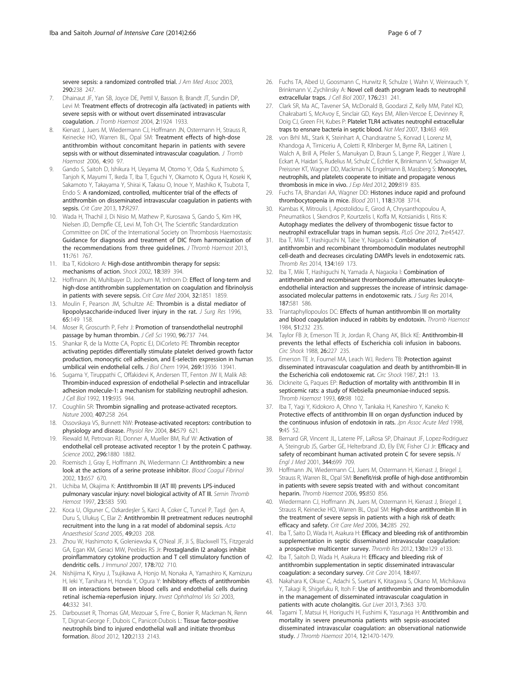<span id="page-5-0"></span>severe sepsis: a randomized controlled trial. J Am Med Assoc 2003, 290:238 247.

- 7. Dhainaut JF, Yan SB, Joyce DE, Pettil V, Basson B, Brandt JT, Sundin DP, Levi M: Treatment effects of drotrecogin alfa (activated) in patients with severe sepsis with or without overt disseminated intravascular coagulation. J Tromb Haemost 2004, 2:1924 1933.
- 8. Kienast J, Juers M, Wiedermann CJ, Hoffmann JN, Ostermann H, Strauss R, Keinecke HO, Warren BL, Opal SM: Treatment effects of high-dose antithrombin without concomitant heparin in patients with severe sepsis with or without disseminated intravascular coagulation. J Tromb Haemost 2006, 4:90 97.
- 9. Gando S, Saitoh D, Ishikura H, Ueyama M, Otomo Y, Oda S, Kushimoto S, Tanjoh K, Mayumi T, Ikeda T, Iba T, Eguchi Y, Okamoto K, Ogura H, Koseki K, Sakamoto Y, Takayama Y, Shirai K, Takasu O, Inoue Y, Mashiko K, Tsubota T, Endo S: A randomized, controlled, multicenter trial of the effects of antithrombin on disseminated intravascular coagulation in patients with sepsis. Crit Care 2013, 17:R297.
- 10. Wada H, Thachil J, Di Nisio M, Mathew P, Kurosawa S, Gando S, Kim HK, Nielsen JD, Dempfle CE, Levi M, Toh CH, The Scientific Standardization Committee on DIC of the International Society on Thrombosis Haemostasis: Guidance for diagnosis and treatment of DIC from harmonization of the recommendations from three guidelines. J Thromb Haemost 2013, 11:761 767.
- 11. Iba T, Kidokoro A: High-dose antithrombin therapy for sepsis: mechanisms of action. Shock 2002, 18:389 394.
- 12. Hoffmann JN, Muhlbayer D, Jochum M, Inthorn D: Effect of long-term and high-dose antithrombin supplementation on coagulation and fibrinolysis in patients with severe sepsis. Crit Care Med 2004, 32:1851 1859.
- 13. Moulin F, Pearson JM, Schultze AE: Thrombin is a distal mediator of lipopolysaccharide-induced liver injury in the rat. J Surg Res 1996, 65:149 158.
- 14. Moser R, Groscurth P, Fehr J: Promotion of transendothelial neutrophil passage by human thrombin. J Cell Sci 1990, 96:737 744.
- 15. Shankar R, de la Motte CA, Poptic EJ, DiCorleto PE: Thrombin receptor activating peptides differentially stimulate platelet derived growth factor production, monocytic cell adhesion, and E-selectin expression in human umbilical vein endothelial cells. J Biol Chem 1994, 269:13936 13941.
- 16. Sugama Y, Tiruppathi C, Offakidevi K, Andersen TT, Fenton JW II, Malik AB: Thrombin-induced expression of endothelial P-selectin and intracellular adhesion molecule-1: a mechanism for stabilizing neutrophil adhesion. J Cell Biol 1992, 119:935 944.
- 17. Coughlin SR: Thrombin signalling and protease-activated receptors. Nature 2000, 407:258 264.
- 18. Ossovskaya VS, Bunnett NW: Protease-activated receptors: contribution to physiology and disease. Physiol Rev 2004, 84:579 621.
- 19. Riewald M, Petrovan RJ, Donner A, Mueller BM, Ruf W: Activation of endothelial cell protease activated receptor 1 by the protein C pathway. Science 2002, 296:1880 1882.
- 20. Roemisch J, Gray E, Hoffmann JN, Wiedermann CJ: Antithrombin: a new look at the actions of a serine protease inhibitor. Blood Coagul Fibrinol 2002, 13:657 670.
- 21. Uchiba M, Okajima K: Antithrombin III (AT III) prevents LPS-induced pulmonary vascular injury: novel biological activity of AT III. Semin Thromb Hemost 1997, 23:583 590.
- 22. Koca U, Olguner C, Ozkardeşler S, Karci A, Coker C, Tuncel P, Taşd ĝen A, Duru S, Ulukuş C, Elar Z: Antithrombin III pretreatment reduces neutrophil recruitment into the lung in a rat model of abdominal sepsis. Acta Anaesthesiol Scand 2005, 49:203 208.
- 23. Zhou W, Hashimoto K, Goleniewska K, O'Neal JF, Ji S, Blackwell TS, Fitzgerald GA, Egan KM, Geraci MW, Peebles RS Jr: Prostaglandin I2 analogs inhibit proinflammatory cytokine production and T cell stimulatory function of dendritic cells. J Immunol 2007, 178:702 710.
- 24. Nishijima K, Kiryu J, Tsujikawa A, Honjo M, Nonaka A, Yamashiro K, Kamizuru H, Ieki Y, Tanihara H, Honda Y, Ogura Y: Inhibitory effects of antithrombin III on interactions between blood cells and endothelial cells during retinal ischemia-reperfusion injury. Invest Ophthalmol Vis Sci 2003, 44:332 341.
- 25. Darbousset R, Thomas GM, Mezouar S, Frre C, Bonier R, Mackman N, Renn T, Dignat-George F, Dubois C, Panicot-Dubois L: Tissue factor-positive neutrophils bind to injured endothelial wall and initiate thrombus formation. Blood 2012, 120:2133 2143.
- 26. Fuchs TA, Abed U, Goosmann C, Hurwitz R, Schulze I, Wahn V, Weinrauch Y, Brinkmann V, Zychlinsky A: Novel cell death program leads to neutrophil extracellular traps. J Cell Biol 2007, 176:231 241.
- 27. Clark SR, Ma AC, Tavener SA, McDonald B, Goodarzi Z, Kelly MM, Patel KD, Chakrabarti S, McAvoy E, Sinclair GD, Keys EM, Allen-Vercoe E, Devinney R, Doig CJ, Green FH, Kubes P: Platelet TLR4 activates neutrophil extracellular traps to ensnare bacteria in septic blood. Nat Med 2007, 13:463 469.
- 28. von Brhl ML, Stark K, Steinhart A, Chandraratne S, Konrad I, Lorenz M, Khandoga A, Tirniceriu A, Coletti R, Kllnberger M, Byrne RA, Laitinen I, Walch A, Brill A, Pfeiler S, Manukyan D, Braun S, Lange P, Riegger J, Ware J, Eckart A, Haidari S, Rudelius M, Schulz C, Echtler K, Brinkmann V, Schwaiger M, Preissner KT, Wagner DD, Mackman N, Engelmann B, Massberg S: Monocytes, neutrophils, and platelets cooperate to initiate and propagate venous thrombosis in mice in vivo. J Exp Med 2012, 209:819 835.
- 29. Fuchs TA, Bhandari AA, Wagner DD: Histones induce rapid and profound thrombocytopenia in mice. Blood 2011, 118:3708 3714.
- 30. Kambas K, Mitroulis I, Apostolidou E, Girod A, Chrysanthopoulou A, Pneumatikos I, Skendros P, Kourtzelis I, Koffa M, Kotsianidis I, Ritis K: Autophagy mediates the delivery of thrombogenic tissue factor to neutrophil extracellular traps in human sepsis. PLoS One 2012, 7:e45427.
- 31. Iba T, Miki T, Hashiguchi N, Tabe Y, Nagaoka I: Combination of antithrombin and recombinant thrombomodulin modulates neutrophil cell-death and decreases circulating DAMPs levels in endotoxemic rats. Thromb Res 2014, 134:169 173.
- Iba T, Miki T, Hashiguchi N, Yamada A, Nagaoka I: Combination of antithrombin and recombinant thrombomodulin attenuates leukocyteendothelial interaction and suppresses the increase of intrinsic damageassociated molecular patterns in endotoxemic rats. J Surg Res 2014, 187:581 586.
- 33. Triantaphyllopoulos DC: Effects of human antithrombin III on mortality and blood coagulation induced in rabbits by endotoxin. Thromb Haemost 1984, 51:232 235.
- 34. Taylor FB Jr, Emerson TE Jr, Jordan R, Chang AK, Blick KE: Antithrombin-III prevents the lethal effects of Escherichia coli infusion in baboons. Circ Shock 1988, 26:227 235.
- 35. Emerson TE Jr, Fournel MA, Leach WJ, Redens TB: Protection against disseminated intravascular coagulation and death by antithrombin-III in the Escherichia coli endotoxemic rat. Circ Shock 1987, 21:1 13.
- Dickneite G, Paques EP: Reduction of mortality with antithrombin III in septicemic rats: a study of Klebsiella pneumoniae-induced sepsis. Thromb Haemost 1993, 69:98 102.
- 37. Iba T, Yagi Y, Kidokoro A, Ohno Y, Tankaka H, Kaneshiro Y, Kaneko K: Protective effects of antithrombin III on organ dysfunction induced by the continuous infusion of endotoxin in rats. Jon Assoc Acute Med 1998. 9:45 52.
- 38. Bernard GR, Vincent JL, Laterre PF, LaRosa SP, Dhainaut JF, Lopez-Rodriguez A, Steingrub JS, Garber GE, Helterbrand JD, Ely EW, Fisher CJ Jr: Efficacy and safety of recombinant human activated protein C for severe sepsis. N Engl J Med 2001, 344:699 709.
- 39. Hoffmann JN, Wiedermann CJ, Juers M, Ostermann H, Kienast J, Briegel J, Strauss R, Warren BL, Opal SM: Benefit/risk profile of high-dose antithrombin in patients with severe sepsis treated with and without concomitant heparin. Thromb Haemost 2006, 95:850 856.
- 40. Wiedermann CJ, Hoffmann JN, Juers M, Ostermann H, Kienast J, Briegel J, Strauss R, Keinecke HO, Warren BL, Opal SM: High-dose antithrombin III in the treatment of severe sepsis in patients with a high risk of death: efficacy and safety. Crit Care Med 2006, 34:285 292.
- 41. Iba T, Saito D, Wada H, Asakura H: Efficacy and bleeding risk of antithrombin supplementation in septic disseminated intravascular coagulation: a prospective multicenter survey. Thromb Res 2012, 130:e129 e133.
- 42. Iba T, Saitoh D, Wada H, Asakura H: Efficacy and bleeding risk of antithrombin supplementation in septic disseminated intravascular coagulation: a secondary survey. Crit Care 2014, 18:497.
- 43. Nakahara K, Okuse C, Adachi S, Suetani K, Kitagawa S, Okano M, Michikawa Y, Takagi R, Shigefuku R, Itoh F: Use of antithrombin and thrombomodulin in the management of disseminated intravascular coagulation in patients with acute cholangitis. Gut Liver 2013, 7:363 370.
- 44. Tagami T, Matsui H, Horiguchi H, Fushimi K, Yasunaga H: Antithrombin and mortality in severe pneumonia patients with sepsis-associated disseminated intravascular coagulation: an observational nationwide study. J Thromb Haemost 2014, 12:1470-1479.